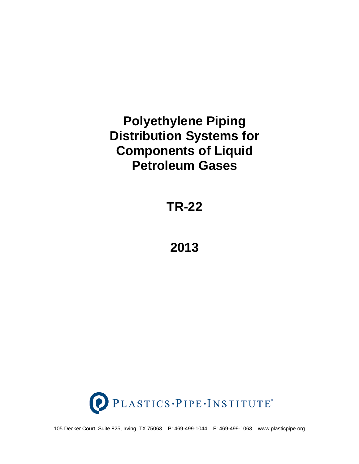# **Polyethylene Piping Distribution Systems for Components of Liquid Petroleum Gases**

**TR-22**

**2013**



105 Decker Court, Suite 825, Irving, TX 75063 P: 469-499-1044 F: 469-499-1063 www.plasticpipe.org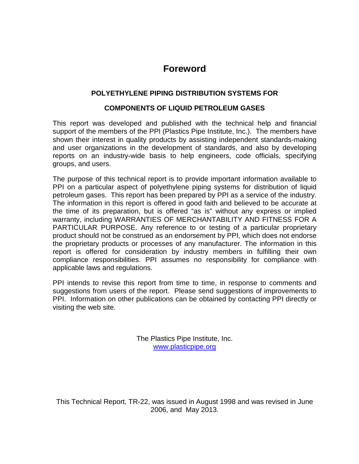# **Foreword**

# **POLYETHYLENE PIPING DISTRIBUTION SYSTEMS FOR**

#### **COMPONENTS OF LIQUID PETROLEUM GASES**

This report was developed and published with the technical help and financial support of the members of the PPI (Plastics Pipe Institute, Inc.). The members have shown their interest in quality products by assisting independent standards-making and user organizations in the development of standards, and also by developing reports on an industry-wide basis to help engineers, code officials, specifying groups, and users.

The purpose of this technical report is to provide important information available to PPI on a particular aspect of polyethylene piping systems for distribution of liquid petroleum gases. This report has been prepared by PPI as a service of the industry. The information in this report is offered in good faith and believed to be accurate at the time of its preparation, but is offered "as is" without any express or implied warranty, including WARRANTIES OF MERCHANTABILITY AND FITNESS FOR A PARTICULAR PURPOSE. Any reference to or testing of a particular proprietary product should not be construed as an endorsement by PPI, which does not endorse the proprietary products or processes of any manufacturer. The information in this report is offered for consideration by industry members in fulfilling their own compliance responsibilities. PPI assumes no responsibility for compliance with applicable laws and regulations.

PPI intends to revise this report from time to time, in response to comments and suggestions from users of the report. Please send suggestions of improvements to PPI. Information on other publications can be obtained by contacting PPI directly or visiting the web site.

> The Plastics Pipe Institute, Inc. [www.plasticpipe.org](http://www.plasticpipe.org/)

This Technical Report, TR-22, was issued in August 1998 and was revised in June 2006, and May 2013.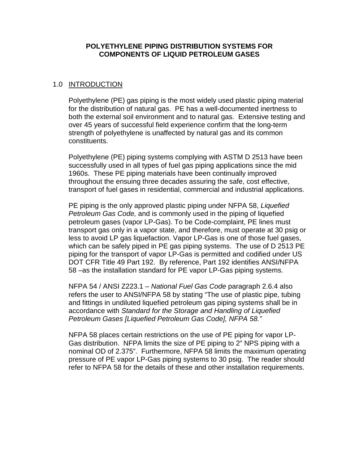#### **POLYETHYLENE PIPING DISTRIBUTION SYSTEMS FOR COMPONENTS OF LIQUID PETROLEUM GASES**

#### 1.0 INTRODUCTION

Polyethylene (PE) gas piping is the most widely used plastic piping material for the distribution of natural gas. PE has a well-documented inertness to both the external soil environment and to natural gas. Extensive testing and over 45 years of successful field experience confirm that the long-term strength of polyethylene is unaffected by natural gas and its common constituents.

Polyethylene (PE) piping systems complying with ASTM D 2513 have been successfully used in all types of fuel gas piping applications since the mid 1960s. These PE piping materials have been continually improved throughout the ensuing three decades assuring the safe, cost effective, transport of fuel gases in residential, commercial and industrial applications.

PE piping is the only approved plastic piping under NFPA 58, *Liquefied Petroleum Gas Code,* and is commonly used in the piping of liquefied petroleum gases (vapor LP-Gas). To be Code-complaint, PE lines must transport gas only in a vapor state, and therefore, must operate at 30 psig or less to avoid LP gas liquefaction. Vapor LP-Gas is one of those fuel gases, which can be safely piped in PE gas piping systems. The use of D 2513 PE piping for the transport of vapor LP-Gas is permitted and codified under US DOT CFR Title 49 Part 192. By reference, Part 192 identifies ANSI/NFPA 58 –as the installation standard for PE vapor LP-Gas piping systems.

NFPA 54 / ANSI Z223.1 – *National Fuel Gas Code* paragraph 2.6.4 also refers the user to ANSI/NFPA 58 by stating "The use of plastic pipe, tubing and fittings in undiluted liquefied petroleum gas piping systems shall be in accordance with *Standard for the Storage and Handling of Liquefied Petroleum Gases [Liquefied Petroleum Gas Code], NFPA 58."*

NFPA 58 places certain restrictions on the use of PE piping for vapor LP-Gas distribution. NFPA limits the size of PE piping to 2" NPS piping with a nominal OD of 2.375". Furthermore, NFPA 58 limits the maximum operating pressure of PE vapor LP-Gas piping systems to 30 psig. The reader should refer to NFPA 58 for the details of these and other installation requirements.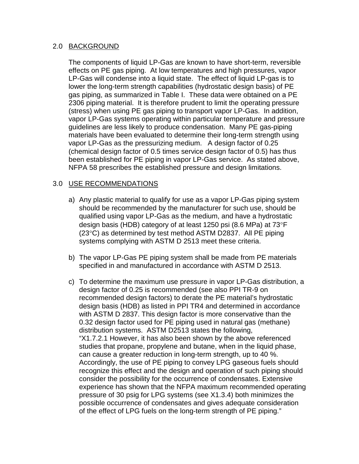#### 2.0 BACKGROUND

The components of liquid LP-Gas are known to have short-term, reversible effects on PE gas piping. At low temperatures and high pressures, vapor LP-Gas will condense into a liquid state. The effect of liquid LP-gas is to lower the long-term strength capabilities (hydrostatic design basis) of PE gas piping, as summarized in Table I. These data were obtained on a PE 2306 piping material. It is therefore prudent to limit the operating pressure (stress) when using PE gas piping to transport vapor LP-Gas. In addition, vapor LP-Gas systems operating within particular temperature and pressure guidelines are less likely to produce condensation. Many PE gas-piping materials have been evaluated to determine their long-term strength using vapor LP-Gas as the pressurizing medium. A design factor of 0.25 (chemical design factor of 0.5 times service design factor of 0.5) has thus been established for PE piping in vapor LP-Gas service. As stated above, NFPA 58 prescribes the established pressure and design limitations.

## 3.0 USE RECOMMENDATIONS

- a) Any plastic material to qualify for use as a vapor LP-Gas piping system should be recommended by the manufacturer for such use, should be qualified using vapor LP-Gas as the medium, and have a hydrostatic design basis (HDB) category of at least 1250 psi (8.6 MPa) at 73°F (23°C) as determined by test method ASTM D2837. All PE piping systems complying with ASTM D 2513 meet these criteria.
- b) The vapor LP-Gas PE piping system shall be made from PE materials specified in and manufactured in accordance with ASTM D 2513.
- c) To determine the maximum use pressure in vapor LP-Gas distribution, a design factor of 0.25 is recommended (see also PPI TR-9 on recommended design factors) to derate the PE material's hydrostatic design basis (HDB) as listed in PPI TR4 and determined in accordance with ASTM D 2837. This design factor is more conservative than the 0.32 design factor used for PE piping used in natural gas (methane) distribution systems. ASTM D2513 states the following, "X1.7.2.1 However, it has also been shown by the above referenced studies that propane, propylene and butane, when in the liquid phase, can cause a greater reduction in long-term strength, up to 40 %. Accordingly, the use of PE piping to convey LPG gaseous fuels should recognize this effect and the design and operation of such piping should consider the possibility for the occurrence of condensates. Extensive experience has shown that the NFPA maximum recommended operating pressure of 30 psig for LPG systems (see X1.3.4) both minimizes the possible occurrence of condensates and gives adequate consideration of the effect of LPG fuels on the long-term strength of PE piping."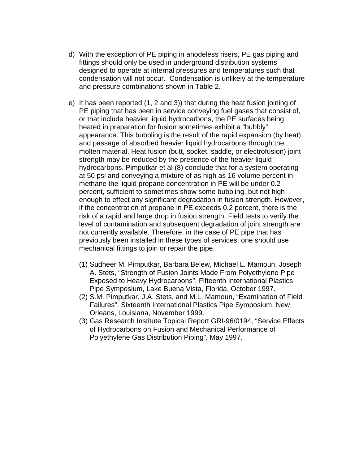- d) With the exception of PE piping in anodeless risers, PE gas piping and fittings should only be used in underground distribution systems designed to operate at internal pressures and temperatures such that condensation will not occur. Condensation is unlikely at the temperature and pressure combinations shown in Table 2.
- e) It has been reported (1, 2 and 3)) that during the heat fusion joining of PE piping that has been in service conveying fuel gases that consist of, or that include heavier liquid hydrocarbons, the PE surfaces being heated in preparation for fusion sometimes exhibit a "bubbly" appearance. This bubbling is the result of the rapid expansion (by heat) and passage of absorbed heavier liquid hydrocarbons through the molten material. Heat fusion (butt, socket, saddle, or electrofusion) joint strength may be reduced by the presence of the heavier liquid hydrocarbons. Pimputkar et al (8) conclude that for a system operating at 50 psi and conveying a mixture of as high as 16 volume percent in methane the liquid propane concentration in PE will be under 0.2 percent, sufficient to sometimes show some bubbling, but not high enough to effect any significant degradation in fusion strength. However, if the concentration of propane in PE exceeds 0.2 percent, there is the risk of a rapid and large drop in fusion strength. Field tests to verify the level of contamination and subsequent degradation of joint strength are not currently available. Therefore, in the case of PE pipe that has previously been installed in these types of services, one should use mechanical fittings to join or repair the pipe.
	- (1) Sudheer M. Pimputkar, Barbara Belew, Michael L. Mamoun, Joseph A. Stets, "Strength of Fusion Joints Made From Polyethylene Pipe Exposed to Heavy Hydrocarbons", Fifteenth International Plastics Pipe Symposium, Lake Buena Vista, Florida, October 1997.
	- (2) S.M. Pimputkar, J.A. Stets, and M.L. Mamoun, "Examination of Field Failures", Sixteenth International Plastics Pipe Symposium, New Orleans, Louisiana, November 1999.
	- (3) Gas Research Institute Topical Report GRI-96/0194, "Service Effects of Hydrocarbons on Fusion and Mechanical Performance of Polyethylene Gas Distribution Piping", May 1997.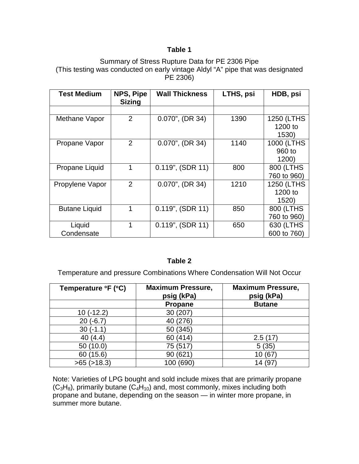## **Table 1**

#### Summary of Stress Rupture Data for PE 2306 Pipe (This testing was conducted on early vintage Aldyl "A" pipe that was designated PE 2306)

| <b>Test Medium</b>   | NPS, Pipe<br><b>Sizing</b> | <b>Wall Thickness</b> | LTHS, psi | HDB, psi    |
|----------------------|----------------------------|-----------------------|-----------|-------------|
|                      |                            |                       |           |             |
| Methane Vapor        | $\overline{2}$             | $0.070$ ", (DR 34)    | 1390      | 1250 (LTHS  |
|                      |                            |                       |           | 1200 to     |
|                      |                            |                       |           | 1530)       |
| Propane Vapor        | $\overline{2}$             | $0.070$ ", (DR 34)    | 1140      | 1000 (LTHS  |
|                      |                            |                       |           | 960 to      |
|                      |                            |                       |           | 1200        |
| Propane Liquid       | 1                          | $0.119$ ", (SDR 11)   | 800       | 800 (LTHS   |
|                      |                            |                       |           | 760 to 960) |
| Propylene Vapor      | 2                          | $0.070$ ", (DR 34)    | 1210      | 1250 (LTHS  |
|                      |                            |                       |           | 1200 to     |
|                      |                            |                       |           | 1520)       |
| <b>Butane Liquid</b> | 1                          | $0.119$ ", (SDR 11)   | 850       | 800 (LTHS   |
|                      |                            |                       |           | 760 to 960) |
| Liquid               |                            | $0.119$ ", (SDR 11)   | 650       | 630 (LTHS   |
| Condensate           |                            |                       |           | 600 to 760) |

# **Table 2**

Temperature and pressure Combinations Where Condensation Will Not Occur

| Temperature ${}^{\circ}$ F ( ${}^{\circ}$ C) | <b>Maximum Pressure,</b><br>psig (kPa) | <b>Maximum Pressure,</b><br>psig (kPa) |
|----------------------------------------------|----------------------------------------|----------------------------------------|
|                                              | Propane                                | <b>Butane</b>                          |
| $(-12.2)$                                    | 30 (207)                               |                                        |
| $(-6.7)$<br>20                               | (276)<br>40                            |                                        |
| $30(-1.1)$                                   | 50 (345)                               |                                        |
| 40 $(4.4)$                                   | (414)<br>60                            | 2.5(17)                                |
| 50 (10.0)                                    | 75 (517                                | 5(35)                                  |
| (15.6)<br>60                                 | (621<br>90                             |                                        |
| $>65$ ( $>18.3$ )                            | (690<br>100                            | 14                                     |

Note: Varieties of LPG bought and sold include mixes that are primarily [propane](http://en.wikipedia.org/wiki/Propane)  $(C_3H_8)$ , primarily [butane](http://en.wikipedia.org/wiki/Butane)  $(C_4H_{10})$  and, most commonly, mixes including both propane and [butane,](http://en.wikipedia.org/wiki/Butane) depending on the season — in winter more propane, in summer more butane.